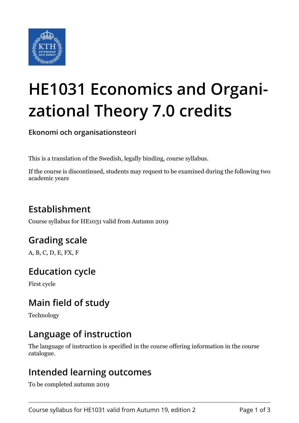

# **HE1031 Economics and Organizational Theory 7.0 credits**

**Ekonomi och organisationsteori**

This is a translation of the Swedish, legally binding, course syllabus.

If the course is discontinued, students may request to be examined during the following two academic years

# **Establishment**

Course syllabus for HE1031 valid from Autumn 2019

## **Grading scale**

A, B, C, D, E, FX, F

## **Education cycle**

First cycle

## **Main field of study**

Technology

## **Language of instruction**

The language of instruction is specified in the course offering information in the course catalogue.

#### **Intended learning outcomes**

To be completed autumn 2019